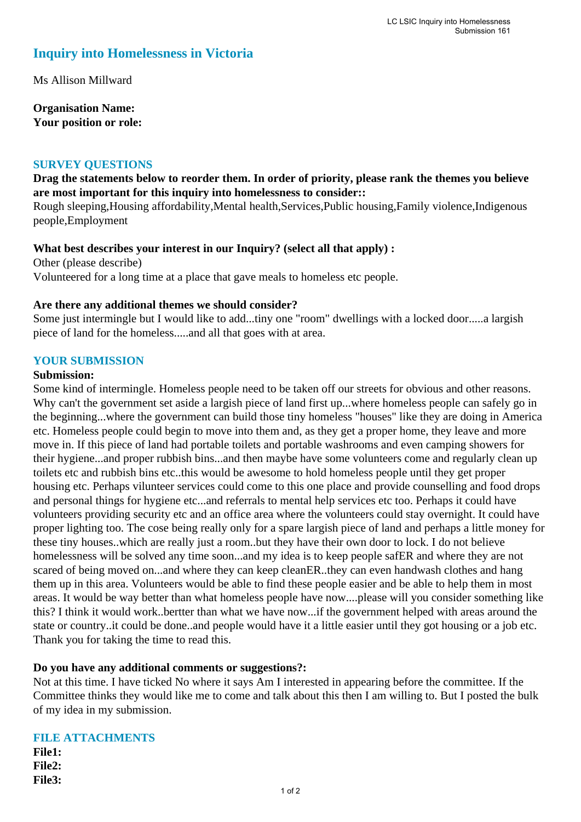# **Inquiry into Homelessness in Victoria**

Ms Allison Millward

**Organisation Name: Your position or role:** 

#### **SURVEY QUESTIONS**

### **Drag the statements below to reorder them. In order of priority, please rank the themes you believe are most important for this inquiry into homelessness to consider::**

Rough sleeping,Housing affordability,Mental health,Services,Public housing,Family violence,Indigenous people,Employment

#### **What best describes your interest in our Inquiry? (select all that apply) :**

Other (please describe) Volunteered for a long time at a place that gave meals to homeless etc people.

#### **Are there any additional themes we should consider?**

Some just intermingle but I would like to add...tiny one "room" dwellings with a locked door.....a largish piece of land for the homeless.....and all that goes with at area.

#### **YOUR SUBMISSION**

#### **Submission:**

Some kind of intermingle. Homeless people need to be taken off our streets for obvious and other reasons. Why can't the government set aside a largish piece of land first up...where homeless people can safely go in the beginning...where the government can build those tiny homeless "houses" like they are doing in America etc. Homeless people could begin to move into them and, as they get a proper home, they leave and more move in. If this piece of land had portable toilets and portable washrooms and even camping showers for their hygiene...and proper rubbish bins...and then maybe have some volunteers come and regularly clean up toilets etc and rubbish bins etc..this would be awesome to hold homeless people until they get proper housing etc. Perhaps vilunteer services could come to this one place and provide counselling and food drops and personal things for hygiene etc...and referrals to mental help services etc too. Perhaps it could have volunteers providing security etc and an office area where the volunteers could stay overnight. It could have proper lighting too. The cose being really only for a spare largish piece of land and perhaps a little money for these tiny houses..which are really just a room..but they have their own door to lock. I do not believe homelessness will be solved any time soon...and my idea is to keep people safER and where they are not scared of being moved on...and where they can keep cleanER..they can even handwash clothes and hang them up in this area. Volunteers would be able to find these people easier and be able to help them in most areas. It would be way better than what homeless people have now....please will you consider something like this? I think it would work..bertter than what we have now...if the government helped with areas around the state or country..it could be done..and people would have it a little easier until they got housing or a job etc. Thank you for taking the time to read this.

#### **Do you have any additional comments or suggestions?:**

Not at this time. I have ticked No where it says Am I interested in appearing before the committee. If the Committee thinks they would like me to come and talk about this then I am willing to. But I posted the bulk of my idea in my submission.

## **FILE ATTACHMENTS File1: File2: File3:**